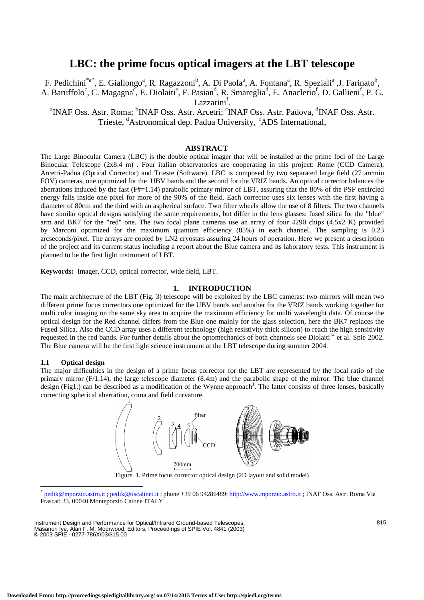# **LBC: the prime focus optical imagers at the LBT telescope**

F. Pedichini<sup>\*a\*</sup>, E. Giallongo<sup>a</sup>, R. Ragazzoni<sup>b</sup>, A. Di Paola<sup>a</sup>, A. Fontana<sup>a</sup>, R. Speziali<sup>a</sup> ,J. Farinato<sup>b</sup>, A. Baruffolo<sup>c</sup>, C. Magagna<sup>c</sup>, E. Diolaiti<sup>e</sup>, F. Pasian<sup>d</sup>, R. Smareglia<sup>d</sup>, E. Anaclerio<sup>f</sup>, D. Gallieni<sup>f</sup>, P. G. Lazzarini<sup>f</sup>.

<sup>a</sup>INAF Oss. Astr. Roma; <sup>b</sup>INAF Oss. Astr. Arcetri; <sup>c</sup>INAF Oss. Astr. Padova, <sup>d</sup>INAF Oss. Astr. Trieste, <sup>d</sup>Astronomical dep. Padua University, <sup>f</sup>ADS International,

# **ABSTRACT**

The Large Binocular Camera (LBC) is the double optical imager that will be installed at the prime foci of the Large Binocular Telescope (2x8.4 m) . Four italian observatories are cooperating in this project: Rome (CCD Camera), Arcetri-Padua (Optical Corrector) and Trieste (Software). LBC is composed by two separated large field (27 arcmin FOV) cameras, one optimized for the UBV bands and the second for the VRIZ bands. An optical corrector balances the aberrations induced by the fast ( $F#=1.14$ ) parabolic primary mirror of LBT, assuring that the 80% of the PSF encircled energy falls inside one pixel for more of the 90% of the field. Each corrector uses six lenses with the first having a diameter of 80cm and the third with an aspherical surface. Two filter wheels allow the use of 8 filters. The two channels have similar optical designs satisfying the same requirements, but differ in the lens glasses: fused silica for the "blue" arm and BK7 for the "red" one. The two focal plane cameras use an array of four 4290 chips (4.5x2 K) provided by Marconi optimized for the maximum quantum efficiency (85%) in each channel. The sampling is 0.23 arcseconds/pixel. The arrays are cooled by LN2 cryostats assuring 24 hours of operation. Here we present a description of the project and its current status including a report about the Blue camera and its laboratory tests. This instrument is planned to be the first light instrument of LBT.

**Keywords:** Imager, CCD, optical corrector, wide field, LBT.

# **1. INTRODUCTION**

The main architecture of the LBT (Fig. 3) telescope will be exploited by the LBC cameras: two mirrors will mean two different prime focus correctors one optimized for the UBV bands and another for the VRIZ bands working together for multi color imaging on the same sky area to acquire the maximum efficiency for multi wavelenght data. Of course the optical design for the Red channel differs from the Blue one mainly for the glass selection, here the BK7 replaces the Fused Silica. Also the CCD array uses a different technology (high resistivity thick silicon) to reach the high sensitivity requested in the red bands. For further details about the optomechanics of both channels see Diolaiti<sup>14</sup> et al. Spie 2002. The Blue camera will be the first light science instrument at the LBT telescope during summer 2004.

### **1.1 Optical design**

The major difficulties in the design of a prime focus corrector for the LBT are represented by the focal ratio of the primary mirror  $(F/1.14)$ , the large telescope diameter  $(8.4m)$  and the parabolic shape of the mirror. The blue channel design (Fig1.) can be described as a modification of the Wynne approach<sup>1</sup>. The latter consists of three lenses, basically correcting spherical aberration, coma and field curvature.



Figure. 1. Prime focus corrector optical design (2D layout and solid model)

Instrument Design and Performance for Optical/Infrared Ground-based Telescopes, Masanori Iye, Alan F. M. Moorwood, Editors, Proceedings of SPIE Vol. 4841 (2003) © 2003 SPIE · 0277-786X/03/\$15.00

pedik@mporzio.astro.it ; pedik@tiscalinet.it ; phone +39 06 94286489; http://www.mporzio.astro.it ; INAF Oss. Astr. Roma Via Frascati 33, 00040 Monteporzio Catone ITALY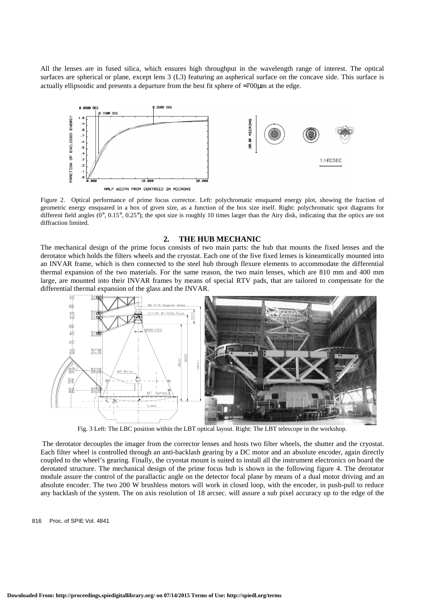All the lenses are in fused silica, which ensures high throughput in the wavelength range of interest. The optical surfaces are spherical or plane, except lens 3 (L3) featuring an aspherical surface on the concave side. This surface is actually ellipsoidic and presents a departure from the best fit sphere of  $\approx$ 700 $\mu$ m at the edge.



Figure 2. Optical performance of prime focus corrector. Left: polychromatic ensquared energy plot, showing the fraction of geometric energy ensquared in a box of given size, as a function of the box size itself. Right: polychromatic spot diagrams for different field angles  $(0^{\circ}, 0.15^{\circ}, 0.25^{\circ})$ ; the spot size is roughly 10 times larger than the Airy disk, indicating that the optics are not diffraction limited.

#### **2. THE HUB MECHANIC**

The mechanical design of the prime focus consists of two main parts: the hub that mounts the fixed lenses and the derotator which holds the filters wheels and the cryostat. Each one of the five fixed lenses is kineamtically mounted into an INVAR frame, which is then connected to the steel hub through flexure elements to accommodate the differential thermal expansion of the two materials. For the same reason, the two main lenses, which are 810 mm and 400 mm large, are mounted into their INVAR frames by means of special RTV pads, that are tailored to compensate for the differential thermal expansion of the glass and the INVAR.



Fig. 3 Left: The LBC position within the LBT optical layout. Right: The LBT telescope in the workshop.

 The derotator decouples the imager from the corrector lenses and hosts two filter wheels, the shutter and the cryostat. Each filter wheel is controlled through an anti-backlash gearing by a DC motor and an absolute encoder, again directly coupled to the wheel's gearing. Finally, the cryostat mount is suited to install all the instrument electronics on board the derotated structure. The mechanical design of the prime focus hub is shown in the following figure 4. The derotator module assure the control of the parallactic angle on the detector focal plane by means of a dual motor driving and an absolute encoder. The two 200 W brushless motors will work in closed loop, with the encoder, in push-pull to reduce any backlash of the system. The on axis resolution of 18 arcsec. will assure a sub pixel accuracy up to the edge of the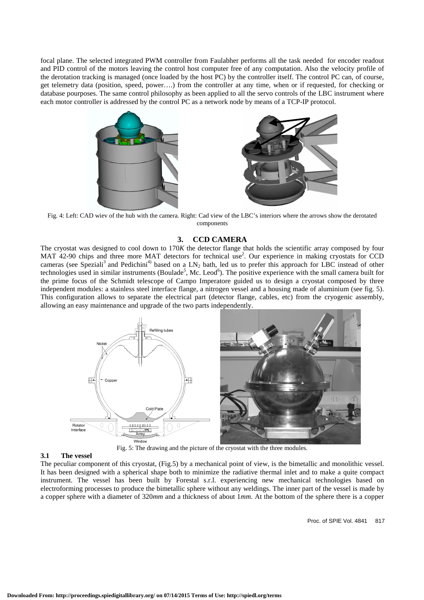focal plane. The selected integrated PWM controller from Faulabher performs all the task needed for encoder readout and PID control of the motors leaving the control host computer free of any computation. Also the velocity profile of the derotation tracking is managed (once loaded by the host PC) by the controller itself. The control PC can, of course, get telemetry data (position, speed, power….) from the controller at any time, when or if requested, for checking or database pourposes. The same control philosophy as been applied to all the servo controls of the LBC instrument where each motor controller is addressed by the control PC as a network node by means of a TCP-IP protocol.





Fig. 4: Left: CAD wiev of the hub with the camera. Right: Cad view of the LBC's interiors where the arrows show the derotated components

## **3. CCD CAMERA**

The cryostat was designed to cool down to 170*K* the detector flange that holds the scientific array composed by four MAT 42-90 chips and three more MAT detectors for technical use<sup>2</sup>. Our experience in making cryostats for CCD cameras (see Speziali<sup>3</sup> and Pedichini<sup>4)</sup> based on a LN<sub>2</sub> bath, led us to prefer this approach for LBC instead of other technologies used in similar instruments (Boulade<sup>5</sup>, Mc. Leod<sup>6</sup>). The positive experience with the small camera built for the prime focus of the Schmidt telescope of Campo Imperatore guided us to design a cryostat composed by three independent modules: a stainless steel interface flange, a nitrogen vessel and a housing made of aluminium (see fig. 5). This configuration allows to separate the electrical part (detector flange, cables, etc) from the cryogenic assembly, allowing an easy maintenance and upgrade of the two parts independently.



#### **3.1 The vessel**

The peculiar component of this cryostat, (Fig.5) by a mechanical point of view, is the bimetallic and monolithic vessel. It has been designed with a spherical shape both to minimize the radiative thermal inlet and to make a quite compact instrument. The vessel has been built by Forestal s.r.l. experiencing new mechanical technologies based on electroforming processes to produce the bimetallic sphere without any weldings. The inner part of the vessel is made by a copper sphere with a diameter of 320*mm* and a thickness of about 1*mm*. At the bottom of the sphere there is a copper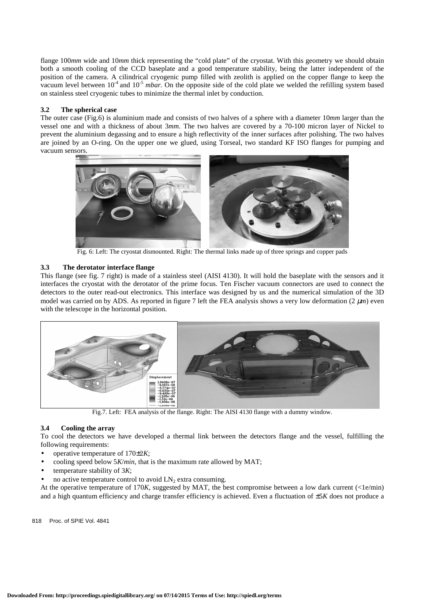flange 100*mm* wide and 10*mm* thick representing the "cold plate" of the cryostat. With this geometry we should obtain both a smooth cooling of the CCD baseplate and a good temperature stability, being the latter independent of the position of the camera. A cilindrical cryogenic pump filled with zeolith is applied on the copper flange to keep the vacuum level between  $10^{-4}$  and  $10^{-5}$  *mbar*. On the opposite side of the cold plate we welded the refilling system based on stainless steel cryogenic tubes to minimize the thermal inlet by conduction.

## **3.2 The spherical case**

The outer case (Fig.6) is aluminium made and consists of two halves of a sphere with a diameter 10*mm* larger than the vessel one and with a thickness of about 3*mm*. The two halves are covered by a 70-100 micron layer of Nickel to prevent the aluminium degassing and to ensure a high reflectivity of the inner surfaces after polishing. The two halves are joined by an O-ring. On the upper one we glued, using Torseal, two standard KF ISO flanges for pumping and vacuum sensors.



Fig. 6: Left: The cryostat dismounted. Right: The thermal links made up of three springs and copper pads

# **3.3 The derotator interface flange**

This flange (see fig. 7 right) is made of a stainless steel (AISI 4130). It will hold the baseplate with the sensors and it interfaces the cryostat with the derotator of the prime focus. Ten Fischer vacuum connectors are used to connect the detectors to the outer read-out electronics. This interface was designed by us and the numerical simulation of the 3D model was carried on by ADS. As reported in figure 7 left the FEA analysis shows a very low deformation  $(2 \mu m)$  even with the telescope in the horizontal position.



Fig.7. Left: FEA analysis of the flange. Right: The AISI 4130 flange with a dummy window.

# **3.4 Cooling the array**

To cool the detectors we have developed a thermal link between the detectors flange and the vessel, fulfilling the following requirements:

- operative temperature of 170±2*K*;
- cooling speed below 5*K*/*min*, that is the maximum rate allowed by MAT;
- temperature stability of 3*K*;
- no active temperature control to avoid  $LN_2$  extra consuming.

At the operative temperature of 170*K*, suggested by MAT, the best compromise between a low dark current (<1e/min) and a high quantum efficiency and charge transfer efficiency is achieved. Even a fluctuation of ±5*K* does not produce a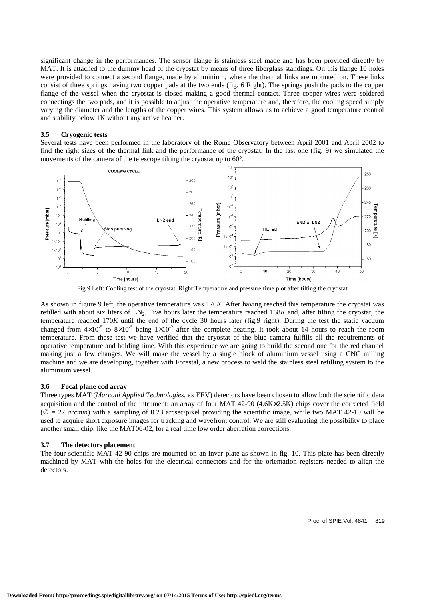significant change in the performances. The sensor flange is stainless steel made and has been provided directly by MAT. It is attached to the dummy head of the cryostat by means of three fiberglass standings. On this flange 10 holes were provided to connect a second flange, made by aluminium, where the thermal links are mounted on. These links consist of three springs having two copper pads at the two ends (fig. 6 Right). The springs push the pads to the copper flange of the vessel when the cryostat is closed making a good thermal contact. Three copper wires were soldered connectings the two pads, and it is possible to adjust the operative temperature and, therefore, the cooling speed simply varying the diameter and the lengths of the copper wires. This system allows us to achieve a good temperature control and stability below 1K without any active heather.

## **3.5 Cryogenic tests**

Several tests have been performed in the laboratory of the Rome Observatory between April 2001 and April 2002 to find the right sizes of the thermal link and the performance of the cryostat. In the last one (fig. 9) we simulated the movements of the camera of the telescope tilting the cryostat up to 60°.



Fig 9.Left: Cooling test of the cryostat. Right:Temperature and pressure time plot after tilting the cryostat

As shown in figure 9 left, the operative temperature was 170*K*. After having reached this temperature the cryostat was refilled with about six liters of LN2. Five hours later the temperature reached 168*K* and, after tilting the cryostat, the temperature reached 170*K* until the end of the cycle 30 hours later (fig.9 right). During the test the static vacuum changed from  $4\times10^{-5}$  to  $8\times10^{-5}$  being  $1\times10^{-2}$  after the complete heating. It took about 14 hours to reach the room temperature. From these test we have verified that the cryostat of the blue camera fulfills all the requirements of operative temperature and holding time. With this experience we are going to build the second one for the red channel making just a few changes. We will make the vessel by a single block of aluminium vessel using a CNC milling machine and we are developing, together with Forestal, a new process to weld the stainless steel refilling system to the aluminium vessel.

# **3.6 Focal plane ccd array**

Three types MAT (*Marconi Applied Technologies*, ex EEV) detectors have been chosen to allow both the scientific data acquisition and the control of the intrument: an array of four MAT 42-90 (4.6K×2.5K) chips cover the corrected field  $(\emptyset = 27$  *arcmin*) with a sampling of 0.23 arcsec/pixel providing the scientific image, while two MAT 42-10 will be used to acquire short exposure images for tracking and wavefront control. We are still evaluating the possibility to place another small chip, like the MAT06-02, for a real time low order aberration corrections.

#### **3.7 The detectors placement**

The four scientific MAT 42-90 chips are mounted on an invar plate as shown in fig. 10. This plate has been directly machined by MAT with the holes for the electrical connectors and for the orientation registers needed to align the detectors.

Proc. of SPIE Vol. 4841 819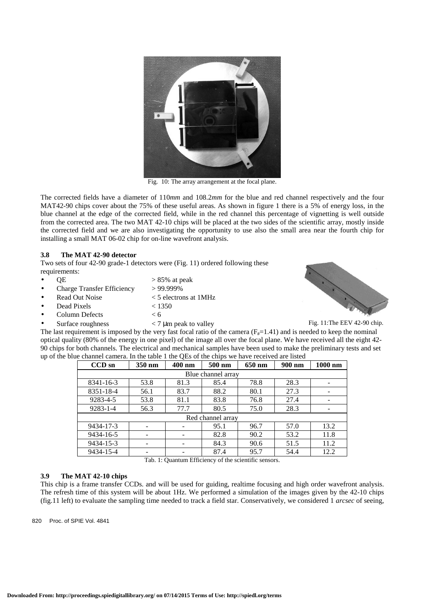

Fig. 10: The array arrangement at the focal plane.

The corrected fields have a diameter of 110*mm* and 108.2*mm* for the blue and red channel respectively and the four MAT42-90 chips cover about the 75% of these useful areas. As shown in figure 1 there is a 5% of energy loss, in the blue channel at the edge of the corrected field, while in the red channel this percentage of vignetting is well outside from the corrected area. The two MAT 42-10 chips will be placed at the two sides of the scientific array, mostly inside the corrected field and we are also investigating the opportunity to use also the small area near the fourth chip for installing a small MAT 06-02 chip for on-line wavefront analysis.

# **3.8 The MAT 42-90 detector**

Two sets of four 42-90 grade-1 detectors were (Fig. 11) ordered following these requirements:

- 
- $\text{QE}$   $> 85\%$  at peak • Charge Transfer Efficiency > 99.999%
- Read Out Noise < 5 electrons at 1MHz
- Dead Pixels < 1350
- Column Defects < 6
- Surface roughness  $\langle 7 \mu m \rangle$  peak to valley



Fig. 11:The EEV 42-90 chip.

The last requirement is imposed by the very fast focal ratio of the camera  $(F_{\#} = 1.41)$  and is needed to keep the nominal optical quality (80% of the energy in one pixel) of the image all over the focal plane. We have received all the eight 42- 90 chips for both channels. The electrical and mechanical samples have been used to make the preliminary tests and set up of the blue channel camera. In the table 1 the QEs of the chips we have received are listed

| $CCD$ sn           | 350 nm | 400 nm | 500 nm            | 650 nm | 900 nm | $1000$ nm |  |  |
|--------------------|--------|--------|-------------------|--------|--------|-----------|--|--|
| Blue channel array |        |        |                   |        |        |           |  |  |
| 8341-16-3          | 53.8   | 81.3   | 85.4              | 78.8   | 28.3   |           |  |  |
| 8351-18-4          | 56.1   | 83.7   | 88.2              | 80.1   | 27.3   |           |  |  |
| 9283-4-5           | 53.8   | 81.1   | 83.8              | 76.8   | 27.4   |           |  |  |
| $9283 - 1 - 4$     | 56.3   | 77.7   | 80.5              | 75.0   | 28.3   |           |  |  |
|                    |        |        | Red channel array |        |        |           |  |  |
| 9434-17-3          |        |        | 95.1              | 96.7   | 57.0   | 13.2      |  |  |
| 9434-16-5          |        |        | 82.8              | 90.2   | 53.2   | 11.8      |  |  |
| 9434-15-3          |        |        | 84.3              | 90.6   | 51.5   | 11.2      |  |  |
| 9434-15-4          |        |        | 87.4              | 95.7   | 54.4   | 12.2      |  |  |

Tab. 1: Quantum Efficiency of the scientific sensors.

# **3.9 The MAT 42-10 chips**

This chip is a frame transfer CCDs. and will be used for guiding, realtime focusing and high order wavefront analysis. The refresh time of this system will be about 1Hz. We performed a simulation of the images given by the 42-10 chips (fig.11 left) to evaluate the sampling time needed to track a field star. Conservatively, we considered 1 *arcsec* of seeing,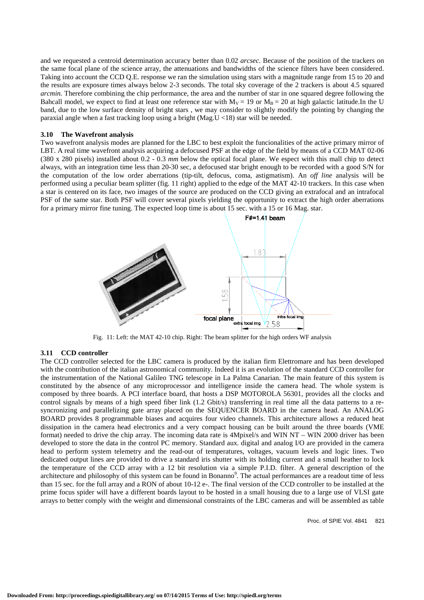and we requested a centroid determination accuracy better than 0.02 *arcsec*. Because of the position of the trackers on the same focal plane of the science array, the attenuations and bandwidths of the science filters have been considered. Taking into account the CCD Q.E. response we ran the simulation using stars with a magnitude range from 15 to 20 and the results are exposure times always below 2-3 seconds. The total sky coverage of the 2 trackers is about 4.5 squared *arcmin.* Therefore combining the chip performance, the area and the number of star in one squared degree following the Bahcall model, we expect to find at least one reference star with  $M_V = 19$  or  $M_B = 20$  at high galactic latitude.In the U band, due to the low surface density of bright stars , we may consider to slightly modify the pointing by changing the paraxial angle when a fast tracking loop using a bright (Mag.U <18) star will be needed.

#### **3.10 The Wavefront analysis**

Two wavefront analysis modes are planned for the LBC to best exploit the funcionalities of the active primary mirror of LBT. A real time wavefront analysis acquiring a defocused PSF at the edge of the field by means of a CCD MAT 02-06 (380 x 280 pixels) installed about 0.2 - 0.3 *mm* below the optical focal plane. We espect with this mall chip to detect always, with an integration time less than 20-30 sec, a defocused star bright enough to be recorded with a good S/N for the computation of the low order aberrations (tip-tilt, defocus, coma, astigmatism). An *off line* analysis will be performed using a peculiar beam splitter (fig. 11 right) applied to the edge of the MAT 42-10 trackers. In this case when a star is centered on its face, two images of the source are produced on the CCD giving an extrafocal and an intrafocal PSF of the same star. Both PSF will cover several pixels yielding the opportunity to extract the high order aberrations for a primary mirror fine tuning. The expected loop time is about 15 sec. with a 15 or 16 Mag. star.



Fig. 11: Left: the MAT 42-10 chip. Right: The beam splitter for the high orders WF analysis

#### **3.11 CCD controller**

The CCD controller selected for the LBC camera is produced by the italian firm Elettromare and has been developed with the contribution of the italian astronomical community. Indeed it is an evolution of the standard CCD controller for the instrumentation of the National Galileo TNG telescope in La Palma Canarian. The main feature of this system is constituted by the absence of any microprocessor and intelligence inside the camera head. The whole system is composed by three boards. A PCI interface board, that hosts a DSP MOTOROLA 56301, provides all the clocks and control signals by means of a high speed fiber link (1.2 Gbit/s) transferring in real time all the data patterns to a resyncronizing and parallelizing gate array placed on the SEQUENCER BOARD in the camera head. An ANALOG BOARD provides 8 programmable biases and acquires four video channels. This architecture allows a reduced heat dissipation in the camera head electronics and a very compact housing can be built around the three boards (VME format) needed to drive the chip array. The incoming data rate is 4Mpixel/s and WIN NT – WIN 2000 driver has been developed to store the data in the control PC memory. Standard aux. digital and analog I/O are provided in the camera head to perform system telemetry and the read-out of temperatures, voltages, vacuum levels and logic lines. Two dedicated output lines are provided to drive a standard iris shutter with its holding current and a small heather to lock the temperature of the CCD array with a 12 bit resolution via a simple P.I.D. filter. A general description of the architecture and philosophy of this system can be found in Bonanno<sup>9</sup>. The actual performances are a readout time of less than 15 sec. for the full array and a RON of about 10-12 e-. The final version of the CCD controller to be installed at the prime focus spider will have a different boards layout to be hosted in a small housing due to a large use of VLSI gate arrays to better comply with the weight and dimensional constraints of the LBC cameras and will be assembled as table

Proc. of SPIE Vol. 4841 821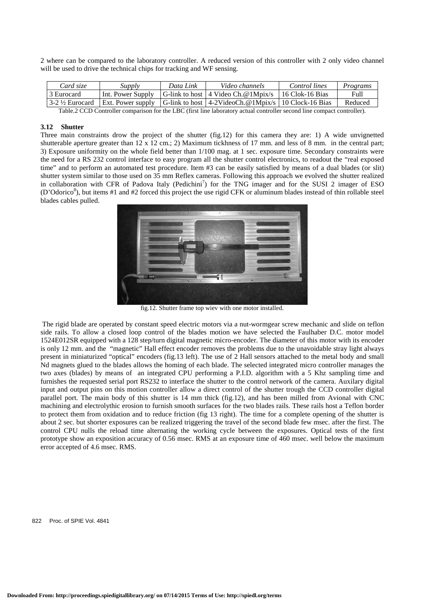2 where can be compared to the laboratory controller. A reduced version of this controller with 2 only video channel will be used to drive the technical chips for tracking and WF sensing.

| Card size                            | Supply | Data Link | Video channels                                                                    | Control lines | Programs |
|--------------------------------------|--------|-----------|-----------------------------------------------------------------------------------|---------------|----------|
| 3 Eurocard                           |        |           | Int. Power Supply $ G$ -link to host   4 Video Ch. @ 1Mpix/s   16 Clok-16 Bias    |               | Full     |
| $\frac{3-2 \frac{1}{2}}{2}$ Eurocard |        |           | Ext. Power supply $ G$ -link to host $ 4$ -2VideoCh. @1Mpix/s $ 10$ Clock-16 Bias |               | Reduced  |
| $\pi$ ii a $\alpha$ an $\alpha$      |        |           |                                                                                   |               |          |

Table.2 CCD Controller comparison for the LBC (first line laboratory actual controller second line compact controller).

#### **3.12 Shutter**

Three main constraints drow the project of the shutter (fig.12) for this camera they are: 1) A wide unvignetted shutterable aperture greater than 12 x 12 cm.; 2) Maximum tickhness of 17 mm. and less of 8 mm. in the central part; 3) Exposure uniformity on the whole field better than 1/100 mag. at 1 sec. exposure time. Secondary constraints were the need for a RS 232 control interface to easy program all the shutter control electronics, to readout the "real exposed time" and to perform an automated test procedure. Item #3 can be easily satisfied by means of a dual blades (or slit) shutter system similar to those used on 35 mm Reflex cameras. Following this approach we evolved the shutter realized in collaboration with CFR of Padova Italy (Pedichini<sup>7</sup>) for the TNG imager and for the SUSI 2 imager of ESO (D'Odorico<sup>8</sup>), but items #1 and #2 forced this project the use rigid CFK or aluminum blades instead of thin rollable steel blades cables pulled.



fig.12. Shutter frame top wiev with one motor installed.

 The rigid blade are operated by constant speed electric motors via a nut-wormgear screw mechanic and slide on teflon side rails. To allow a closed loop control of the blades motion we have selected the Faulhaber D.C. motor model 1524E012SR equipped with a 128 step/turn digital magnetic micro-encoder. The diameter of this motor with its encoder is only 12 mm. and the "magnetic" Hall effect encoder removes the problems due to the unavoidable stray light always present in miniaturized "optical" encoders (fig.13 left). The use of 2 Hall sensors attached to the metal body and small Nd magnets glued to the blades allows the homing of each blade. The selected integrated micro controller manages the two axes (blades) by means of an integrated CPU performing a P.I.D. algorithm with a 5 Khz sampling time and furnishes the requested serial port RS232 to interface the shutter to the control network of the camera. Auxilary digital input and output pins on this motion controller allow a direct control of the shutter trough the CCD controller digital parallel port. The main body of this shutter is 14 mm thick (fig.12), and has been milled from Avional with CNC machining and electrolythic erosion to furnish smooth surfaces for the two blades rails. These rails host a Teflon border to protect them from oxidation and to reduce friction (fig 13 right). The time for a complete opening of the shutter is about 2 sec. but shorter exposures can be realized triggering the travel of the second blade few msec. after the first. The control CPU nulls the reload time alternating the working cycle between the exposures. Optical tests of the first prototype show an exposition accuracy of 0.56 msec. RMS at an exposure time of 460 msec. well below the maximum error accepted of 4.6 msec. RMS.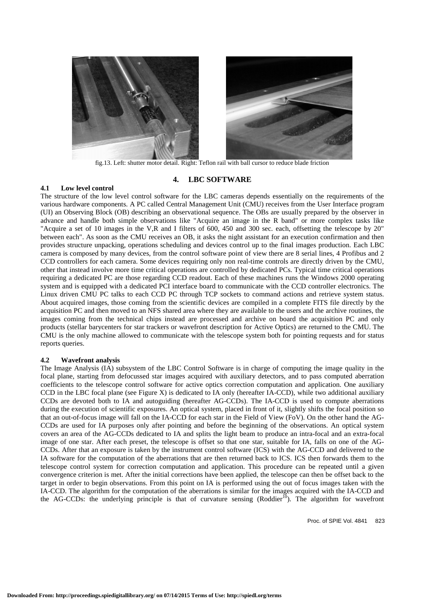

fig.13. Left: shutter motor detail. Right: Teflon rail with ball cursor to reduce blade friction

## **4. LBC SOFTWARE**

#### **4.1 Low level control**

The structure of the low level control software for the LBC cameras depends essentially on the requirements of the various hardware components. A PC called Central Management Unit (CMU) receives from the User Interface program (UI) an Observing Block (OB) describing an observational sequence. The OBs are usually prepared by the observer in advance and handle both simple observations like "Acquire an image in the R band" or more complex tasks like "Acquire a set of 10 images in the V,R and I filters of 600, 450 and 300 sec. each, offsetting the telescope by 20" between each". As soon as the CMU receives an OB, it asks the night assistant for an execution confirmation and then provides structure unpacking, operations scheduling and devices control up to the final images production. Each LBC camera is composed by many devices, from the control software point of view there are 8 serial lines, 4 Profibus and 2 CCD controllers for each camera. Some devices requiring only non real-time controls are directly driven by the CMU, other that instead involve more time critical operations are controlled by dedicated PCs. Typical time critical operations requiring a dedicated PC are those regarding CCD readout. Each of these machines runs the Windows 2000 operating system and is equipped with a dedicated PCI interface board to communicate with the CCD controller electronics. The Linux driven CMU PC talks to each CCD PC through TCP sockets to command actions and retrieve system status. About acquired images, those coming from the scientific devices are compiled in a complete FITS file directly by the acquisition PC and then moved to an NFS shared area where they are available to the users and the archive routines, the images coming from the technical chips instead are processed and archive on board the acquisition PC and only products (stellar barycenters for star trackers or wavefront description for Active Optics) are returned to the CMU. The CMU is the only machine allowed to communicate with the telescope system both for pointing requests and for status reports queries.

#### **4.2 Wavefront analysis**

The Image Analysis (IA) subsystem of the LBC Control Software is in charge of computing the image quality in the focal plane, starting from defocussed star images acquired with auxiliary detectors, and to pass computed aberration coefficients to the telescope control software for active optics correction computation and application. One auxiliary CCD in the LBC focal plane (see Figure X) is dedicated to IA only (hereafter IA-CCD), while two additional auxiliary CCDs are devoted both to IA and autoguiding (hereafter AG-CCDs). The IA-CCD is used to compute aberrations during the execution of scientific exposures. An optical system, placed in front of it, slightly shifts the focal position so that an out-of-focus image will fall on the IA-CCD for each star in the Field of View (FoV). On the other hand the AG-CCDs are used for IA purposes only after pointing and before the beginning of the observations. An optical system covers an area of the AG-CCDs dedicated to IA and splits the light beam to produce an intra-focal and an extra-focal image of one star. After each preset, the telescope is offset so that one star, suitable for IA, falls on one of the AG-CCDs. After that an exposure is taken by the instrument control software (ICS) with the AG-CCD and delivered to the IA software for the computation of the aberrations that are then returned back to ICS. ICS then forwards them to the telescope control system for correction computation and application. This procedure can be repeated until a given convergence criterion is met. After the initial corrections have been applied, the telescope can then be offset back to the target in order to begin observations. From this point on IA is performed using the out of focus images taken with the IA-CCD. The algorithm for the computation of the aberrations is similar for the images acquired with the IA-CCD and the AG-CCDs: the underlying principle is that of curvature sensing (Roddier<sup>10</sup>). The algorithm for wavefront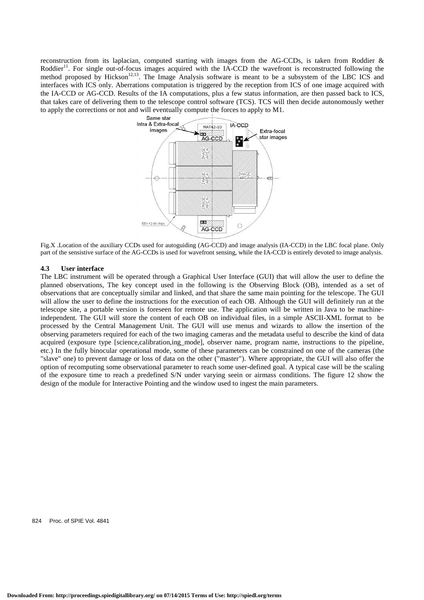reconstruction from its laplacian, computed starting with images from the AG-CCDs, is taken from Roddier & Roddier<sup>11</sup>. For single out-of-focus images acquired with the IA-CCD the wavefront is reconstructed following the method proposed by Hickson<sup>12,13</sup>. The Image Analysis software is meant to be a subsystem of the LBC ICS and interfaces with ICS only. Aberrations computation is triggered by the reception from ICS of one image acquired with the IA-CCD or AG-CCD. Results of the IA computations, plus a few status information, are then passed back to ICS, that takes care of delivering them to the telescope control software (TCS). TCS will then decide autonomously wether to apply the corrections or not and will eventually compute the forces to apply to M1.



Fig.X .Location of the auxiliary CCDs used for autoguiding (AG-CCD) and image analysis (IA-CCD) in the LBC focal plane. Only part of the sensistive surface of the AG-CCDs is used for wavefront sensing, while the IA-CCD is entirely devoted to image analysis.

#### **4.3 User interface**

The LBC instrument will be operated through a Graphical User Interface (GUI) that will allow the user to define the planned observations, The key concept used in the following is the Observing Block (OB), intended as a set of observations that are conceptually similar and linked, and that share the same main pointing for the telescope. The GUI will allow the user to define the instructions for the execution of each OB. Although the GUI will definitely run at the telescope site, a portable version is foreseen for remote use. The application will be written in Java to be machineindependent. The GUI will store the content of each OB on individual files, in a simple ASCII-XML format to be processed by the Central Management Unit. The GUI will use menus and wizards to allow the insertion of the observing parameters required for each of the two imaging cameras and the metadata useful to describe the kind of data acquired (exposure type [science,calibration,ing\_mode], observer name, program name, instructions to the pipeline, etc.) In the fully binocular operational mode, some of these parameters can be constrained on one of the cameras (the "slave" one) to prevent damage or loss of data on the other ("master"). Where appropriate, the GUI will also offer the option of recomputing some observational parameter to reach some user-defined goal. A typical case will be the scaling of the exposure time to reach a predefined S/N under varying seein or airmass conditions. The figure 12 show the design of the module for Interactive Pointing and the window used to ingest the main parameters.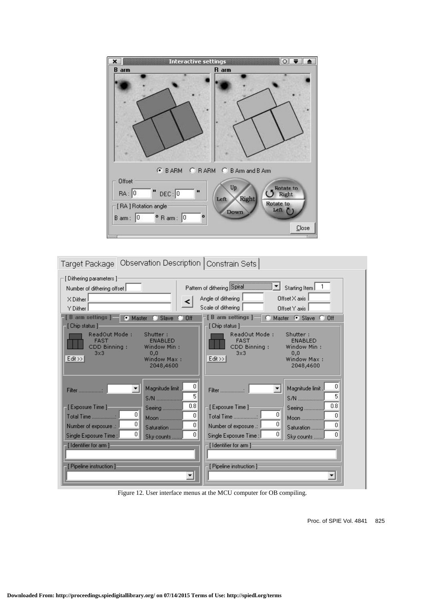

| Target Package   Observation Description   Constrain Sets                              |                                                                                                                                   |
|----------------------------------------------------------------------------------------|-----------------------------------------------------------------------------------------------------------------------------------|
| [ Dithering parameters ]:<br>Number of dithering offset<br>$\times$ Dither<br>Y Dither | Pattern of dithering Spiral<br>Starting Item<br>Offset $\times$ axis<br>Angle of dithering<br>Scale of dithering<br>Offset Y axis |
| <b>B</b> arm settings $ -$<br>Master<br>Slave<br>m<br>Off<br>[ Chip status ]-          | [ B arm settings ] =<br>Master C Slave<br>$C$ Off<br>[ Chip status ]                                                              |
| ReadOut Mode:                                                                          | ReadOut Mode:                                                                                                                     |
| Shutter:                                                                               | Shutter:                                                                                                                          |
| <b>ENABLED</b>                                                                         | <b>ENABLED</b>                                                                                                                    |
| <b>FAST</b>                                                                            | <b>FAST</b>                                                                                                                       |
| CDD Binning:                                                                           | CDD Binning:                                                                                                                      |
| Window Min:                                                                            | Window Min:                                                                                                                       |
| 0,0                                                                                    | 0,0                                                                                                                               |
| 3x3                                                                                    | 3x3                                                                                                                               |
| Edit >>                                                                                | $Edt \gg$                                                                                                                         |
| Window Max:                                                                            | Window Max:                                                                                                                       |
| 2048,4600                                                                              | 2048,4600                                                                                                                         |
| 0                                                                                      | 0                                                                                                                                 |
| Magnitude limit.                                                                       | Magnitude limit.                                                                                                                  |
| <b>Filter</b>                                                                          | Filter :                                                                                                                          |
| 5                                                                                      | 5                                                                                                                                 |
| S/N                                                                                    | S/N                                                                                                                               |
| 0.8                                                                                    | 0.8                                                                                                                               |
| [Exposure Time]                                                                        | ⊤[Exposure Time ]∘                                                                                                                |
| Seeing                                                                                 | Seeing                                                                                                                            |
| 0                                                                                      | 0                                                                                                                                 |
| 0                                                                                      | 0                                                                                                                                 |
| Total Time :                                                                           | Total Time :                                                                                                                      |
| Moon                                                                                   | Moon                                                                                                                              |
| 0                                                                                      | 0                                                                                                                                 |
| 0                                                                                      | 0                                                                                                                                 |
| Number of exposure .:                                                                  | Number of exposure .:                                                                                                             |
| Saturation                                                                             | Saturation                                                                                                                        |
| 0                                                                                      | 0                                                                                                                                 |
| ۵                                                                                      | 0                                                                                                                                 |
| Single Exposure Time :                                                                 | Single Exposure Time :                                                                                                            |
| Sky counts                                                                             | Sky counts                                                                                                                        |
| [Identifier for arm]                                                                   | [Identifier for arm]                                                                                                              |
| [ Pipeline instruction ]<br>▼                                                          | [ Pipeline instruction ]                                                                                                          |

Figure 12. User interface menus at the MCU computer for OB compiling.

Proc. of SPIE Vol. 4841 825